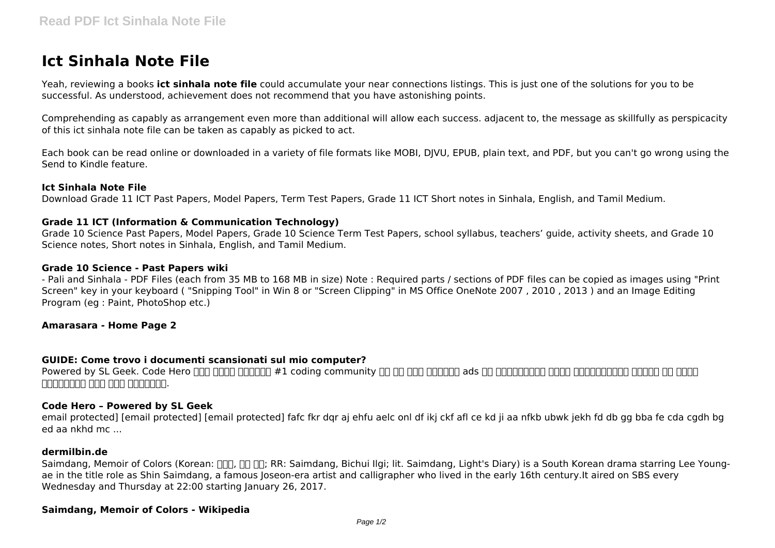# **Ict Sinhala Note File**

Yeah, reviewing a books **ict sinhala note file** could accumulate your near connections listings. This is just one of the solutions for you to be successful. As understood, achievement does not recommend that you have astonishing points.

Comprehending as capably as arrangement even more than additional will allow each success. adjacent to, the message as skillfully as perspicacity of this ict sinhala note file can be taken as capably as picked to act.

Each book can be read online or downloaded in a variety of file formats like MOBI, DJVU, EPUB, plain text, and PDF, but you can't go wrong using the Send to Kindle feature.

#### **Ict Sinhala Note File**

Download Grade 11 ICT Past Papers, Model Papers, Term Test Papers, Grade 11 ICT Short notes in Sinhala, English, and Tamil Medium.

### **Grade 11 ICT (Information & Communication Technology)**

Grade 10 Science Past Papers, Model Papers, Grade 10 Science Term Test Papers, school syllabus, teachers' guide, activity sheets, and Grade 10 Science notes, Short notes in Sinhala, English, and Tamil Medium.

#### **Grade 10 Science - Past Papers wiki**

- Pali and Sinhala - PDF Files (each from 35 MB to 168 MB in size) Note : Required parts / sections of PDF files can be copied as images using "Print Screen" key in your keyboard ( "Snipping Tool" in Win 8 or "Screen Clipping" in MS Office OneNote 2007 , 2010 , 2013 ) and an Image Editing Program (eg : Paint, PhotoShop etc.)

#### **Amarasara - Home Page 2**

#### **GUIDE: Come trovo i documenti scansionati sul mio computer?**

Powered by SL Geek. Code Hero යනු ශ්රී ලංකාවේ #1 coding community එක වන අතර කිසිදු ads හෝ ගෙවීමකින් තොරව සියල්ලන්ටම භාවිත කල හැකි අවකාශයක් ලෙස මෙය පවතිනවා.

#### **Code Hero – Powered by SL Geek**

email protected] [email protected] [email protected] fafc fkr dqr aj ehfu aelc onl df ikj ckf afl ce kd ji aa nfkb ubwk jekh fd db gg bba fe cda cgdh bg ed aa nkhd mc ...

#### **dermilbin.de**

Saimdang, Memoir of Colors (Korean: NO, NO, TR, Saimdang, Bichui Ilgi; lit. Saimdang, Light's Diary) is a South Korean drama starring Lee Youngae in the title role as Shin Saimdang, a famous Joseon-era artist and calligrapher who lived in the early 16th century.It aired on SBS every Wednesday and Thursday at 22:00 starting January 26, 2017.

#### **Saimdang, Memoir of Colors - Wikipedia**